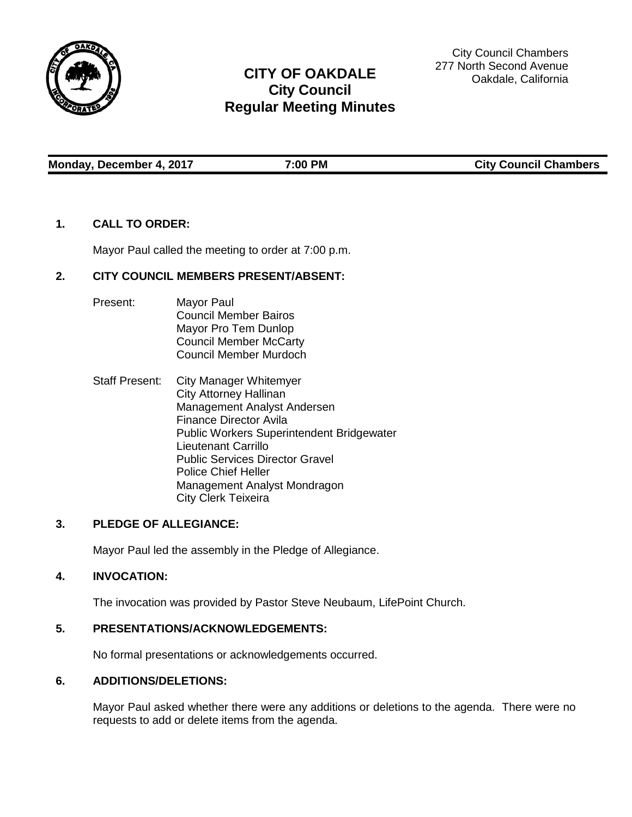

# **CITY OF OAKDALE City Council Regular Meeting Minutes**

City Council Chambers 277 North Second Avenue Oakdale, California

**Monday, December 4, 2017 7:00 PM City Council Chambers**

### **1. CALL TO ORDER:**

Mayor Paul called the meeting to order at 7:00 p.m.

# **2. CITY COUNCIL MEMBERS PRESENT/ABSENT:**

- Present: Mayor Paul Council Member Bairos Mayor Pro Tem Dunlop Council Member McCarty Council Member Murdoch
- Staff Present: City Manager Whitemyer City Attorney Hallinan Management Analyst Andersen Finance Director Avila Public Workers Superintendent Bridgewater Lieutenant Carrillo Public Services Director Gravel Police Chief Heller Management Analyst Mondragon City Clerk Teixeira

# **3. PLEDGE OF ALLEGIANCE:**

Mayor Paul led the assembly in the Pledge of Allegiance.

# **4. INVOCATION:**

The invocation was provided by Pastor Steve Neubaum, LifePoint Church.

#### **5. PRESENTATIONS/ACKNOWLEDGEMENTS:**

No formal presentations or acknowledgements occurred.

### **6. ADDITIONS/DELETIONS:**

Mayor Paul asked whether there were any additions or deletions to the agenda. There were no requests to add or delete items from the agenda.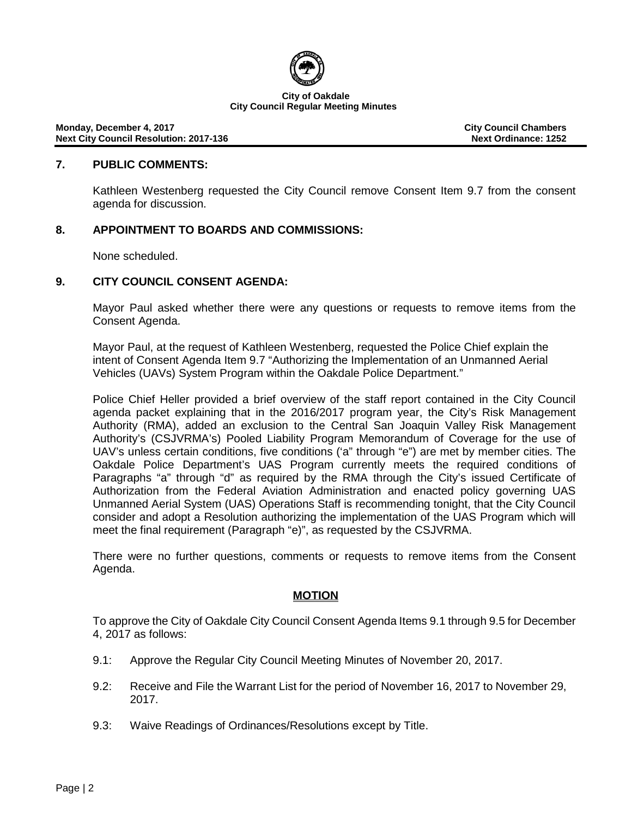

### **7. PUBLIC COMMENTS:**

Kathleen Westenberg requested the City Council remove Consent Item 9.7 from the consent agenda for discussion.

### **8. APPOINTMENT TO BOARDS AND COMMISSIONS:**

None scheduled.

### **9. CITY COUNCIL CONSENT AGENDA:**

Mayor Paul asked whether there were any questions or requests to remove items from the Consent Agenda.

Mayor Paul, at the request of Kathleen Westenberg, requested the Police Chief explain the intent of Consent Agenda Item 9.7 "Authorizing the Implementation of an Unmanned Aerial Vehicles (UAVs) System Program within the Oakdale Police Department."

Police Chief Heller provided a brief overview of the staff report contained in the City Council agenda packet explaining that in the 2016/2017 program year, the City's Risk Management Authority (RMA), added an exclusion to the Central San Joaquin Valley Risk Management Authority's (CSJVRMA's) Pooled Liability Program Memorandum of Coverage for the use of UAV's unless certain conditions, five conditions ('a" through "e") are met by member cities. The Oakdale Police Department's UAS Program currently meets the required conditions of Paragraphs "a" through "d" as required by the RMA through the City's issued Certificate of Authorization from the Federal Aviation Administration and enacted policy governing UAS Unmanned Aerial System (UAS) Operations Staff is recommending tonight, that the City Council consider and adopt a Resolution authorizing the implementation of the UAS Program which will meet the final requirement (Paragraph "e)", as requested by the CSJVRMA.

There were no further questions, comments or requests to remove items from the Consent Agenda.

# **MOTION**

To approve the City of Oakdale City Council Consent Agenda Items 9.1 through 9.5 for December 4, 2017 as follows:

- 9.1: Approve the Regular City Council Meeting Minutes of November 20, 2017.
- 9.2: Receive and File the Warrant List for the period of November 16, 2017 to November 29, 2017.
- 9.3: Waive Readings of Ordinances/Resolutions except by Title.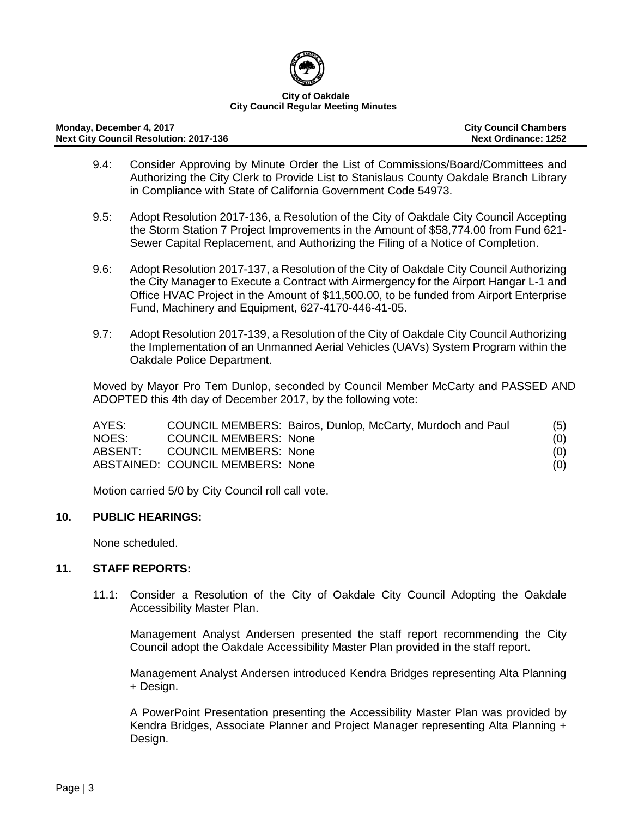

#### **Monday, December 4, 2017 City Council Chambers Next City Council Resolution: 2017-136**

- 9.4: Consider Approving by Minute Order the List of Commissions/Board/Committees and Authorizing the City Clerk to Provide List to Stanislaus County Oakdale Branch Library in Compliance with State of California Government Code 54973.
- 9.5: Adopt Resolution 2017-136, a Resolution of the City of Oakdale City Council Accepting the Storm Station 7 Project Improvements in the Amount of \$58,774.00 from Fund 621- Sewer Capital Replacement, and Authorizing the Filing of a Notice of Completion.
- 9.6: Adopt Resolution 2017-137, a Resolution of the City of Oakdale City Council Authorizing the City Manager to Execute a Contract with Airmergency for the Airport Hangar L-1 and Office HVAC Project in the Amount of \$11,500.00, to be funded from Airport Enterprise Fund, Machinery and Equipment, 627-4170-446-41-05.
- 9.7: Adopt Resolution 2017-139, a Resolution of the City of Oakdale City Council Authorizing the Implementation of an Unmanned Aerial Vehicles (UAVs) System Program within the Oakdale Police Department.

Moved by Mayor Pro Tem Dunlop, seconded by Council Member McCarty and PASSED AND ADOPTED this 4th day of December 2017, by the following vote:

| AYES:   |                                  | COUNCIL MEMBERS: Bairos, Dunlop, McCarty, Murdoch and Paul | (5) |
|---------|----------------------------------|------------------------------------------------------------|-----|
| NOES:   | <b>COUNCIL MEMBERS: None</b>     |                                                            | (0) |
| ABSENT: | <b>COUNCIL MEMBERS: None</b>     |                                                            | (0) |
|         | ABSTAINED: COUNCIL MEMBERS: None |                                                            | (0) |

Motion carried 5/0 by City Council roll call vote.

# **10. PUBLIC HEARINGS:**

None scheduled.

# **11. STAFF REPORTS:**

11.1: Consider a Resolution of the City of Oakdale City Council Adopting the Oakdale Accessibility Master Plan.

Management Analyst Andersen presented the staff report recommending the City Council adopt the Oakdale Accessibility Master Plan provided in the staff report.

Management Analyst Andersen introduced Kendra Bridges representing Alta Planning + Design.

A PowerPoint Presentation presenting the Accessibility Master Plan was provided by Kendra Bridges, Associate Planner and Project Manager representing Alta Planning + Design.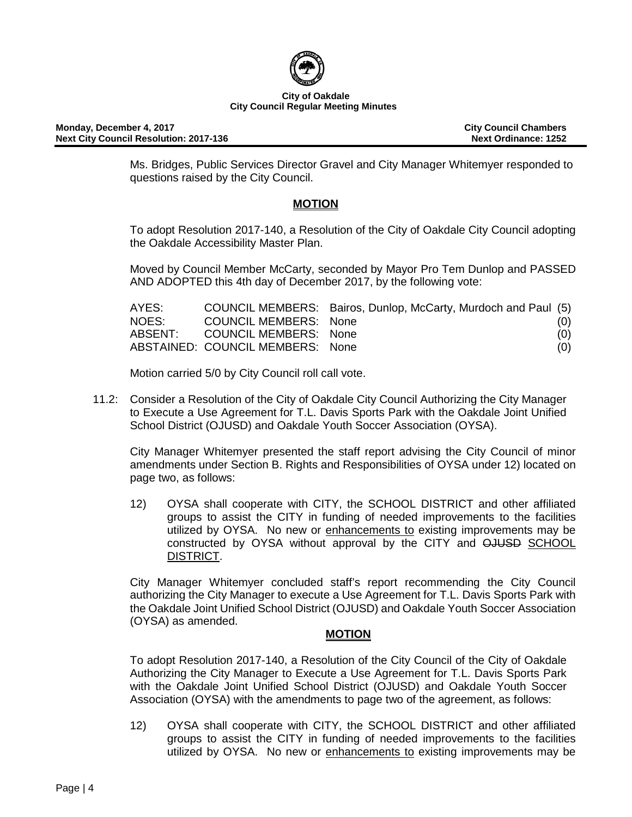

**Monday, December 4, 2017 City Council Chambers Next City Council Resolution: 2017-136** 

Ms. Bridges, Public Services Director Gravel and City Manager Whitemyer responded to questions raised by the City Council.

# **MOTION**

To adopt Resolution 2017-140, a Resolution of the City of Oakdale City Council adopting the Oakdale Accessibility Master Plan.

Moved by Council Member McCarty, seconded by Mayor Pro Tem Dunlop and PASSED AND ADOPTED this 4th day of December 2017, by the following vote:

| AYES: |                                  | COUNCIL MEMBERS: Bairos, Dunlop, McCarty, Murdoch and Paul (5) |     |
|-------|----------------------------------|----------------------------------------------------------------|-----|
| NOES: | COUNCIL MEMBERS: None            |                                                                | (0) |
|       | ABSENT: COUNCIL MEMBERS: None    |                                                                | (0) |
|       | ABSTAINED: COUNCIL MEMBERS: None |                                                                | (0) |

Motion carried 5/0 by City Council roll call vote.

11.2: Consider a Resolution of the City of Oakdale City Council Authorizing the City Manager to Execute a Use Agreement for T.L. Davis Sports Park with the Oakdale Joint Unified School District (OJUSD) and Oakdale Youth Soccer Association (OYSA).

City Manager Whitemyer presented the staff report advising the City Council of minor amendments under Section B. Rights and Responsibilities of OYSA under 12) located on page two, as follows:

12) OYSA shall cooperate with CITY, the SCHOOL DISTRICT and other affiliated groups to assist the CITY in funding of needed improvements to the facilities utilized by OYSA. No new or enhancements to existing improvements may be constructed by OYSA without approval by the CITY and OJUSD SCHOOL DISTRICT.

City Manager Whitemyer concluded staff's report recommending the City Council authorizing the City Manager to execute a Use Agreement for T.L. Davis Sports Park with the Oakdale Joint Unified School District (OJUSD) and Oakdale Youth Soccer Association (OYSA) as amended.

# **MOTION**

To adopt Resolution 2017-140, a Resolution of the City Council of the City of Oakdale Authorizing the City Manager to Execute a Use Agreement for T.L. Davis Sports Park with the Oakdale Joint Unified School District (OJUSD) and Oakdale Youth Soccer Association (OYSA) with the amendments to page two of the agreement, as follows:

12) OYSA shall cooperate with CITY, the SCHOOL DISTRICT and other affiliated groups to assist the CITY in funding of needed improvements to the facilities utilized by OYSA. No new or enhancements to existing improvements may be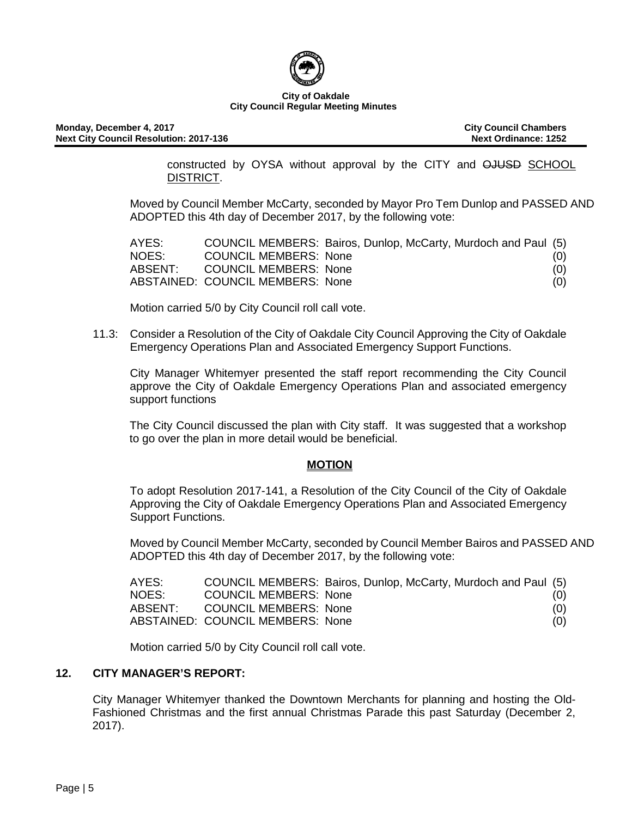

constructed by OYSA without approval by the CITY and OJUSD SCHOOL DISTRICT.

Moved by Council Member McCarty, seconded by Mayor Pro Tem Dunlop and PASSED AND ADOPTED this 4th day of December 2017, by the following vote:

| AYES:   |                                  | COUNCIL MEMBERS: Bairos, Dunlop, McCarty, Murdoch and Paul (5) |     |
|---------|----------------------------------|----------------------------------------------------------------|-----|
| NOES:   | <b>COUNCIL MEMBERS: None</b>     |                                                                | (0) |
| ABSENT: | <b>COUNCIL MEMBERS: None</b>     |                                                                | (0) |
|         | ABSTAINED: COUNCIL MEMBERS: None |                                                                | (0) |

Motion carried 5/0 by City Council roll call vote.

11.3: Consider a Resolution of the City of Oakdale City Council Approving the City of Oakdale Emergency Operations Plan and Associated Emergency Support Functions.

City Manager Whitemyer presented the staff report recommending the City Council approve the City of Oakdale Emergency Operations Plan and associated emergency support functions

The City Council discussed the plan with City staff. It was suggested that a workshop to go over the plan in more detail would be beneficial.

# **MOTION**

To adopt Resolution 2017-141, a Resolution of the City Council of the City of Oakdale Approving the City of Oakdale Emergency Operations Plan and Associated Emergency Support Functions.

Moved by Council Member McCarty, seconded by Council Member Bairos and PASSED AND ADOPTED this 4th day of December 2017, by the following vote:

| AYES:   | COUNCIL MEMBERS: Bairos, Dunlop, McCarty, Murdoch and Paul (5) |  |     |
|---------|----------------------------------------------------------------|--|-----|
| NOES:   | <b>COUNCIL MEMBERS: None</b>                                   |  | (0) |
| ABSENT: | COUNCIL MEMBERS: None                                          |  | (0) |
|         | ABSTAINED: COUNCIL MEMBERS: None                               |  | (0) |

Motion carried 5/0 by City Council roll call vote.

# **12. CITY MANAGER'S REPORT:**

City Manager Whitemyer thanked the Downtown Merchants for planning and hosting the Old-Fashioned Christmas and the first annual Christmas Parade this past Saturday (December 2, 2017).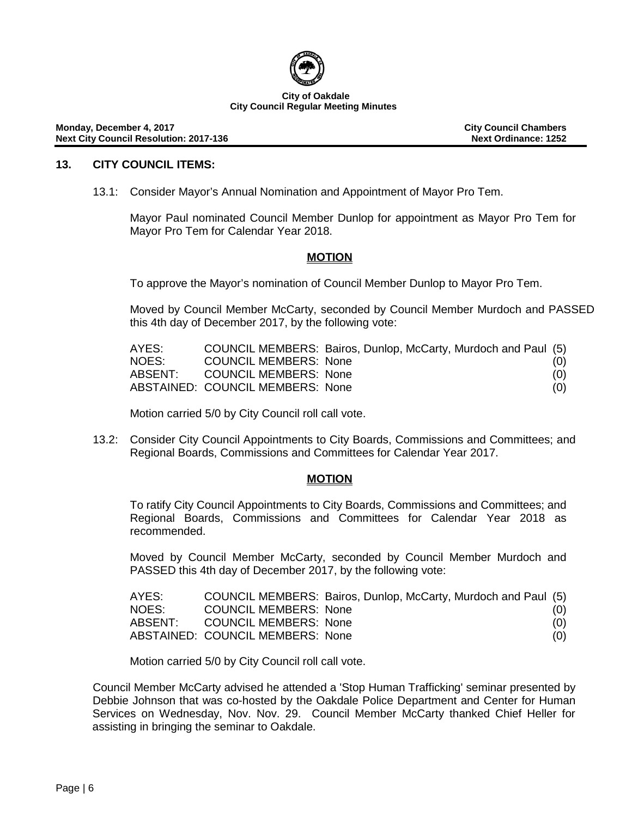

**Monday, December 4, 2017 City Council Chambers Next City Council Resolution: 2017-136** 

### **13. CITY COUNCIL ITEMS:**

13.1: Consider Mayor's Annual Nomination and Appointment of Mayor Pro Tem.

Mayor Paul nominated Council Member Dunlop for appointment as Mayor Pro Tem for Mayor Pro Tem for Calendar Year 2018.

### **MOTION**

To approve the Mayor's nomination of Council Member Dunlop to Mayor Pro Tem.

Moved by Council Member McCarty, seconded by Council Member Murdoch and PASSED this 4th day of December 2017, by the following vote:

| AYES:   |                                  | COUNCIL MEMBERS: Bairos, Dunlop, McCarty, Murdoch and Paul (5) |     |
|---------|----------------------------------|----------------------------------------------------------------|-----|
| NOES:   | <b>COUNCIL MEMBERS: None</b>     |                                                                | (0) |
| ABSENT: | COUNCIL MEMBERS: None            |                                                                | (0) |
|         | ABSTAINED: COUNCIL MEMBERS: None |                                                                | (0) |

Motion carried 5/0 by City Council roll call vote.

13.2: Consider City Council Appointments to City Boards, Commissions and Committees; and Regional Boards, Commissions and Committees for Calendar Year 2017.

#### **MOTION**

To ratify City Council Appointments to City Boards, Commissions and Committees; and Regional Boards, Commissions and Committees for Calendar Year 2018 as recommended.

Moved by Council Member McCarty, seconded by Council Member Murdoch and PASSED this 4th day of December 2017, by the following vote:

| AYES:   |                                  | COUNCIL MEMBERS: Bairos, Dunlop, McCarty, Murdoch and Paul (5) |     |
|---------|----------------------------------|----------------------------------------------------------------|-----|
| NOES:   | <b>COUNCIL MEMBERS: None</b>     |                                                                | (0) |
| ABSENT: | COUNCIL MEMBERS: None            |                                                                | (0) |
|         | ABSTAINED: COUNCIL MEMBERS: None |                                                                | (0) |

Motion carried 5/0 by City Council roll call vote.

Council Member McCarty advised he attended a 'Stop Human Trafficking' seminar presented by Debbie Johnson that was co-hosted by the Oakdale Police Department and Center for Human Services on Wednesday, Nov. Nov. 29. Council Member McCarty thanked Chief Heller for assisting in bringing the seminar to Oakdale.